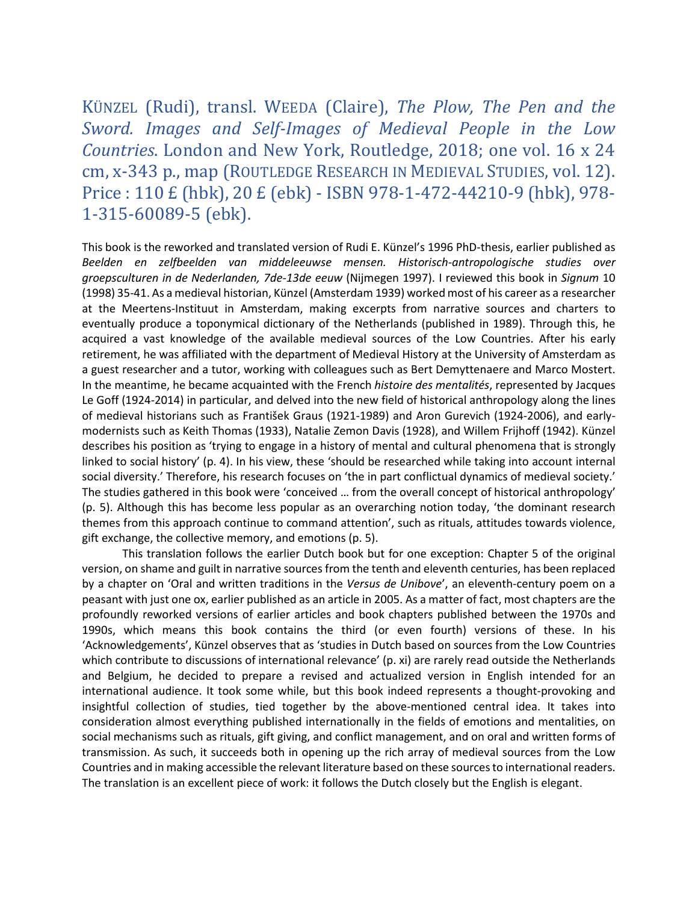KÜNZEL (Rudi), transl. WEEDA (Claire), *The Plow, The Pen and the Sword. Images and Self-Images of Medieval People in the Low Countries*. London and New York, Routledge, 2018; one vol. 16 x 24 cm, x-343 p., map (ROUTLEDGE RESEARCH IN MEDIEVAL STUDIES, vol. 12). Price : 110 £ (hbk), 20 £ (ebk) - ISBN 978-1-472-44210-9 (hbk), 978- 1-315-60089-5 (ebk).

This book is the reworked and translated version of Rudi E. Künzel's 1996 PhD-thesis, earlier published as *Beelden en zelfbeelden van middeleeuwse mensen. Historisch-antropologische studies over groepsculturen in de Nederlanden, 7de-13de eeuw* (Nijmegen 1997). I reviewed this book in *Signum* 10 (1998) 35-41. As a medieval historian, Künzel (Amsterdam 1939) worked most of his career as a researcher at the Meertens-Instituut in Amsterdam, making excerpts from narrative sources and charters to eventually produce a toponymical dictionary of the Netherlands (published in 1989). Through this, he acquired a vast knowledge of the available medieval sources of the Low Countries. After his early retirement, he was affiliated with the department of Medieval History at the University of Amsterdam as a guest researcher and a tutor, working with colleagues such as Bert Demyttenaere and Marco Mostert. In the meantime, he became acquainted with the French *histoire des mentalités*, represented by Jacques Le Goff (1924-2014) in particular, and delved into the new field of historical anthropology along the lines of medieval historians such as František Graus (1921-1989) and Aron Gurevich (1924-2006), and earlymodernists such as Keith Thomas (1933), Natalie Zemon Davis (1928), and Willem Frijhoff (1942). Künzel describes his position as 'trying to engage in a history of mental and cultural phenomena that is strongly linked to social history' (p. 4). In his view, these 'should be researched while taking into account internal social diversity.' Therefore, his research focuses on 'the in part conflictual dynamics of medieval society.' The studies gathered in this book were 'conceived … from the overall concept of historical anthropology' (p. 5). Although this has become less popular as an overarching notion today, 'the dominant research themes from this approach continue to command attention', such as rituals, attitudes towards violence, gift exchange, the collective memory, and emotions (p. 5).

This translation follows the earlier Dutch book but for one exception: Chapter 5 of the original version, on shame and guilt in narrative sources from the tenth and eleventh centuries, has been replaced by a chapter on 'Oral and written traditions in the *Versus de Unibove*', an eleventh-century poem on a peasant with just one ox, earlier published as an article in 2005. As a matter of fact, most chapters are the profoundly reworked versions of earlier articles and book chapters published between the 1970s and 1990s, which means this book contains the third (or even fourth) versions of these. In his 'Acknowledgements', Künzel observes that as 'studies in Dutch based on sources from the Low Countries which contribute to discussions of international relevance' (p. xi) are rarely read outside the Netherlands and Belgium, he decided to prepare a revised and actualized version in English intended for an international audience. It took some while, but this book indeed represents a thought-provoking and insightful collection of studies, tied together by the above-mentioned central idea. It takes into consideration almost everything published internationally in the fields of emotions and mentalities, on social mechanisms such as rituals, gift giving, and conflict management, and on oral and written forms of transmission. As such, it succeeds both in opening up the rich array of medieval sources from the Low Countries and in making accessible the relevant literature based on these sources to international readers. The translation is an excellent piece of work: it follows the Dutch closely but the English is elegant.